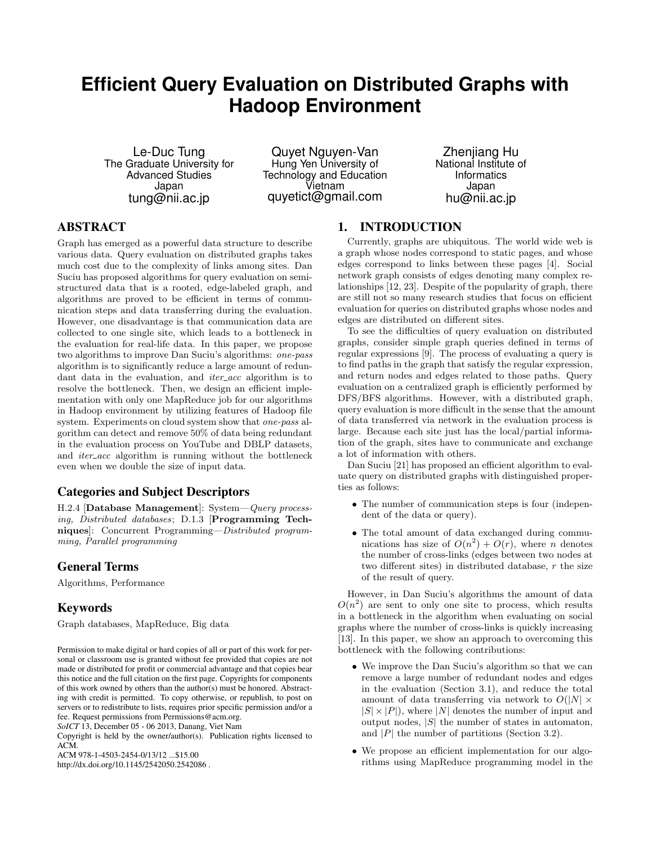# **Efficient Query Evaluation on Distributed Graphs with Hadoop Environment**

Le-Duc Tung The Graduate University for Advanced Studies Japan tung@nii.ac.jp

Quyet Nguyen-Van Hung Yen University of Technology and Education Vietnam quyetict@gmail.com

Zhenjiang Hu National Institute of **Informatics** Japan hu@nii.ac.jp

# ABSTRACT

Graph has emerged as a powerful data structure to describe various data. Query evaluation on distributed graphs takes much cost due to the complexity of links among sites. Dan Suciu has proposed algorithms for query evaluation on semistructured data that is a rooted, edge-labeled graph, and algorithms are proved to be efficient in terms of communication steps and data transferring during the evaluation. However, one disadvantage is that communication data are collected to one single site, which leads to a bottleneck in the evaluation for real-life data. In this paper, we propose two algorithms to improve Dan Suciu's algorithms: one-pass algorithm is to significantly reduce a large amount of redundant data in the evaluation, and *iter\_acc* algorithm is to resolve the bottleneck. Then, we design an efficient implementation with only one MapReduce job for our algorithms in Hadoop environment by utilizing features of Hadoop file system. Experiments on cloud system show that one-pass algorithm can detect and remove 50% of data being redundant in the evaluation process on YouTube and DBLP datasets, and *iter\_acc* algorithm is running without the bottleneck even when we double the size of input data.

# Categories and Subject Descriptors

H.2.4 [Database Management]: System—Query processing, Distributed databases; D.1.3 [Programming Techniques]: Concurrent Programming—Distributed programming, Parallel programming

# General Terms

Algorithms, Performance

# Keywords

Graph databases, MapReduce, Big data

*SoICT* 13, December 05 - 06 2013, Danang, Viet Nam

Copyright is held by the owner/author(s). Publication rights licensed to ACM.

ACM 978-1-4503-2454-0/13/12 ...\$15.00

http://dx.doi.org/10.1145/2542050.2542086 .

# 1. INTRODUCTION

Currently, graphs are ubiquitous. The world wide web is a graph whose nodes correspond to static pages, and whose edges correspond to links between these pages [4]. Social network graph consists of edges denoting many complex relationships [12, 23]. Despite of the popularity of graph, there are still not so many research studies that focus on efficient evaluation for queries on distributed graphs whose nodes and edges are distributed on different sites.

To see the difficulties of query evaluation on distributed graphs, consider simple graph queries defined in terms of regular expressions [9]. The process of evaluating a query is to find paths in the graph that satisfy the regular expression, and return nodes and edges related to those paths. Query evaluation on a centralized graph is efficiently performed by DFS/BFS algorithms. However, with a distributed graph, query evaluation is more difficult in the sense that the amount of data transferred via network in the evaluation process is large. Because each site just has the local/partial information of the graph, sites have to communicate and exchange a lot of information with others.

Dan Suciu [21] has proposed an efficient algorithm to evaluate query on distributed graphs with distinguished properties as follows:

- The number of communication steps is four (independent of the data or query).
- The total amount of data exchanged during communications has size of  $O(n^2) + O(r)$ , where *n* denotes the number of cross-links (edges between two nodes at two different sites) in distributed database, r the size of the result of query.

However, in Dan Suciu's algorithms the amount of data  $O(n^2)$  are sent to only one site to process, which results in a bottleneck in the algorithm when evaluating on social graphs where the number of cross-links is quickly increasing [13]. In this paper, we show an approach to overcoming this bottleneck with the following contributions:

- We improve the Dan Suciu's algorithm so that we can remove a large number of redundant nodes and edges in the evaluation (Section 3.1), and reduce the total amount of data transferring via network to  $O(|N| \times$  $|S| \times |P|$ , where  $|N|$  denotes the number of input and output nodes,  $|S|$  the number of states in automaton, and  $|P|$  the number of partitions (Section 3.2).
- We propose an efficient implementation for our algorithms using MapReduce programming model in the

Permission to make digital or hard copies of all or part of this work for personal or classroom use is granted without fee provided that copies are not made or distributed for profit or commercial advantage and that copies bear this notice and the full citation on the first page. Copyrights for components of this work owned by others than the author(s) must be honored. Abstracting with credit is permitted. To copy otherwise, or republish, to post on servers or to redistribute to lists, requires prior specific permission and/or a fee. Request permissions from Permissions@acm.org.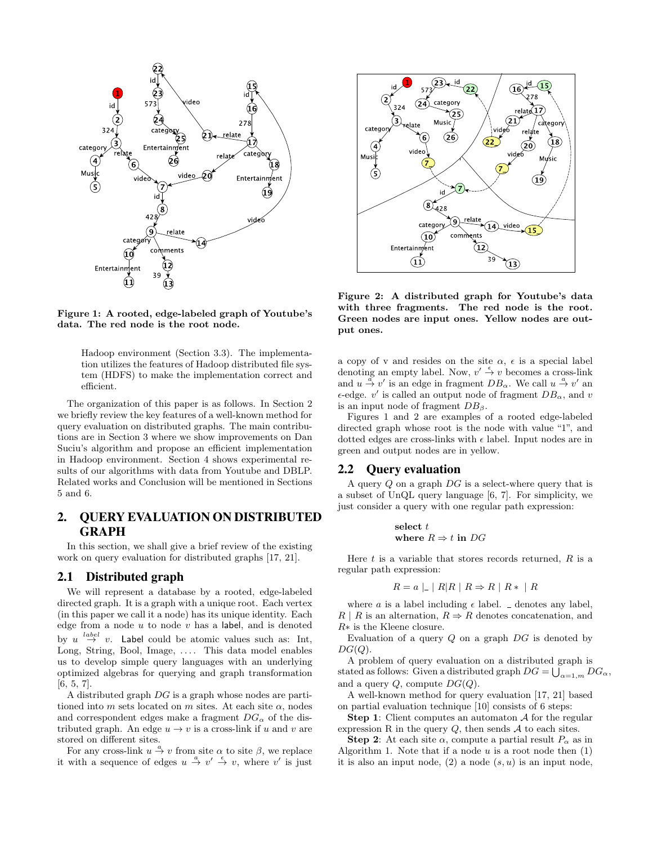

Figure 1: A rooted, edge-labeled graph of Youtube's data. The red node is the root node.

Hadoop environment (Section 3.3). The implementation utilizes the features of Hadoop distributed file system (HDFS) to make the implementation correct and efficient.

The organization of this paper is as follows. In Section 2 we briefly review the key features of a well-known method for query evaluation on distributed graphs. The main contributions are in Section 3 where we show improvements on Dan Suciu's algorithm and propose an efficient implementation in Hadoop environment. Section 4 shows experimental results of our algorithms with data from Youtube and DBLP. Related works and Conclusion will be mentioned in Sections 5 and 6.

# 2. QUERY EVALUATION ON DISTRIBUTED GRAPH

In this section, we shall give a brief review of the existing work on query evaluation for distributed graphs [17, 21].

#### 2.1 Distributed graph

We will represent a database by a rooted, edge-labeled directed graph. It is a graph with a unique root. Each vertex (in this paper we call it a node) has its unique identity. Each edge from a node  $u$  to node  $v$  has a label, and is denoted by  $u \stackrel{label}{\rightarrow} v$ . Label could be atomic values such as: Int, Long, String, Bool, Image, .... This data model enables us to develop simple query languages with an underlying optimized algebras for querying and graph transformation [6, 5, 7].

A distributed graph DG is a graph whose nodes are partitioned into m sets located on m sites. At each site  $\alpha$ , nodes and correspondent edges make a fragment  $DG_{\alpha}$  of the distributed graph. An edge  $u \to v$  is a cross-link if u and v are stored on different sites.

For any cross-link  $u \stackrel{a}{\rightarrow} v$  from site  $\alpha$  to site  $\beta$ , we replace it with a sequence of edges  $u \stackrel{a}{\rightarrow} v' \stackrel{\epsilon}{\rightarrow} v$ , where v' is just



Figure 2: A distributed graph for Youtube's data with three fragments. The red node is the root. Green nodes are input ones. Yellow nodes are output ones.

a copy of v and resides on the site  $\alpha$ ,  $\epsilon$  is a special label denoting an empty label. Now,  $v' \stackrel{\epsilon}{\rightarrow} v$  becomes a cross-link and  $u \stackrel{\alpha}{\rightarrow} v'$  is an edge in fragment  $DB_{\alpha}$ . We call  $u \stackrel{a}{\rightarrow} v'$  an  $\epsilon$ -edge. v' is called an output node of fragment  $DB_{\alpha}$ , and v is an input node of fragment  $DB_\beta$ .

Figures 1 and 2 are examples of a rooted edge-labeled directed graph whose root is the node with value "1", and dotted edges are cross-links with  $\epsilon$  label. Input nodes are in green and output nodes are in yellow.

### 2.2 Query evaluation

A query  $Q$  on a graph  $DG$  is a select-where query that is a subset of UnQL query language [6, 7]. For simplicity, we just consider a query with one regular path expression:

select 
$$
t
$$
  
where  $R \Rightarrow t$  in  $DG$ 

Here  $t$  is a variable that stores records returned,  $R$  is a regular path expression:

$$
R = a \mid A \mid R \mid R \Rightarrow R \mid R * \mid R
$$

where a is a label including  $\epsilon$  label.  $\angle$  denotes any label,  $R | R$  is an alternation,  $R \Rightarrow R$  denotes concatenation, and R∗ is the Kleene closure.

Evaluation of a query  $Q$  on a graph  $DG$  is denoted by  $DG(Q).$ 

A problem of query evaluation on a distributed graph is stated as follows: Given a distributed graph  $DG = \bigcup_{\alpha=1,m} DG_{\alpha}$ , and a query  $Q$ , compute  $DG(Q)$ .

A well-known method for query evaluation [17, 21] based on partial evaluation technique [10] consists of 6 steps:

**Step 1:** Client computes an automaton  $\mathcal A$  for the regular expression R in the query  $Q$ , then sends  $\mathcal A$  to each sites.

**Step 2:** At each site  $\alpha$ , compute a partial result  $P_{\alpha}$  as in Algorithm 1. Note that if a node  $u$  is a root node then  $(1)$ it is also an input node,  $(2)$  a node  $(s, u)$  is an input node,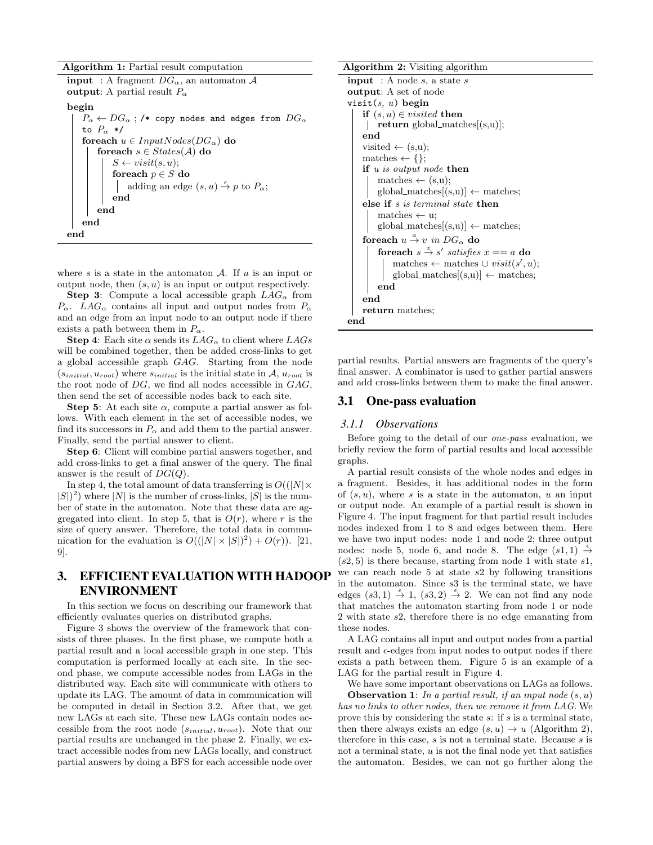Algorithm 1: Partial result computation

**input** : A fragment  $DG_{\alpha}$ , an automaton A output: A partial result  $P_{\alpha}$ begin  $P_{\alpha} \leftarrow DG_{\alpha}$ ; /\* copy nodes and edges from  $DG_{\alpha}$ to  $P_{\alpha}$  \*/ foreach  $u \in InputNodes(DG_{\alpha})$  do foreach  $s \in States(\mathcal{A})$  do  $S \leftarrow visit(s, u);$ foreach  $p \in S$  do adding an edge  $(s, u) \stackrel{\epsilon}{\rightarrow} p$  to  $P_{\alpha}$ ; end end end end

where s is a state in the automaton  $A$ . If u is an input or output node, then  $(s, u)$  is an input or output respectively.

**Step 3:** Compute a local accessible graph  $LAG_{\alpha}$  from  $P_{\alpha}$ . LAG<sub> $\alpha$ </sub> contains all input and output nodes from  $P_{\alpha}$ and an edge from an input node to an output node if there exists a path between them in  $P_{\alpha}$ .

**Step 4:** Each site  $\alpha$  sends its  $LAG_{\alpha}$  to client where  $LAG_{s}$ will be combined together, then be added cross-links to get a global accessible graph GAG. Starting from the node  $(s_{initial}, u_{root})$  where  $s_{initial}$  is the initial state in A,  $u_{root}$  is the root node of  $DG$ , we find all nodes accessible in  $GAG$ , then send the set of accessible nodes back to each site.

**Step 5:** At each site  $\alpha$ , compute a partial answer as follows. With each element in the set of accessible nodes, we find its successors in  $P_{\alpha}$  and add them to the partial answer. Finally, send the partial answer to client.

Step 6: Client will combine partial answers together, and add cross-links to get a final answer of the query. The final answer is the result of  $DG(Q)$ .

In step 4, the total amount of data transferring is  $O(|N| \times$  $|S|$ <sup>2</sup>) where |N| is the number of cross-links, |S| is the number of state in the automaton. Note that these data are aggregated into client. In step 5, that is  $O(r)$ , where r is the size of query answer. Therefore, the total data in communication for the evaluation is  $O((|N| \times |S|)^2) + O(r)$ ). [21, 9].

# 3. EFFICIENT EVALUATION WITH HADOOP ENVIRONMENT

In this section we focus on describing our framework that efficiently evaluates queries on distributed graphs.

Figure 3 shows the overview of the framework that consists of three phases. In the first phase, we compute both a partial result and a local accessible graph in one step. This computation is performed locally at each site. In the second phase, we compute accessible nodes from LAGs in the distributed way. Each site will communicate with others to update its LAG. The amount of data in communication will be computed in detail in Section 3.2. After that, we get new LAGs at each site. These new LAGs contain nodes accessible from the root node  $(s_{initial}, u_{root})$ . Note that our partial results are unchanged in the phase 2. Finally, we extract accessible nodes from new LAGs locally, and construct partial answers by doing a BFS for each accessible node over

#### Algorithm 2: Visiting algorithm

```
input : A node s, a state soutput: A set of node
visit(s, u) begin
   if (s, u) \in visited then
     | return global_matches[(s,u)];
    end
    visited \leftarrow (s,u);
    matches \leftarrow \{\};if u is output node then
        matches \leftarrow (s,u);global\_matches[(s,u)] \leftarrow matches;else if s is terminal state then
        matches \leftarrow u;
        global\_matches[(s,u)] \leftarrow matches;foreach u \stackrel{a}{\rightarrow} v in DG_\alpha do
         for each s \stackrel{x}{\rightarrow} s' satisfies x == a do
             matches \leftarrow matches \cup visit(s', u);
            global\_matches[(s,u)] \leftarrow matches;end
    end
   return matches;
end
```
partial results. Partial answers are fragments of the query's final answer. A combinator is used to gather partial answers and add cross-links between them to make the final answer.

#### 3.1 One-pass evaluation

#### *3.1.1 Observations*

Before going to the detail of our one-pass evaluation, we briefly review the form of partial results and local accessible graphs.

A partial result consists of the whole nodes and edges in a fragment. Besides, it has additional nodes in the form of  $(s, u)$ , where s is a state in the automaton, u an input or output node. An example of a partial result is shown in Figure 4. The input fragment for that partial result includes nodes indexed from 1 to 8 and edges between them. Here we have two input nodes: node 1 and node 2; three output nodes: node 5, node 6, and node 8. The edge  $(s_1, 1) \stackrel{\epsilon}{\rightarrow}$  $(s2, 5)$  is there because, starting from node 1 with state  $s1$ , we can reach node 5 at state s2 by following transitions in the automaton. Since s3 is the terminal state, we have edges  $(s3, 1) \stackrel{\epsilon}{\rightarrow} 1$ ,  $(s3, 2) \stackrel{\epsilon}{\rightarrow} 2$ . We can not find any node that matches the automaton starting from node 1 or node 2 with state s2, therefore there is no edge emanating from these nodes.

A LAG contains all input and output nodes from a partial result and  $\epsilon$ -edges from input nodes to output nodes if there exists a path between them. Figure 5 is an example of a LAG for the partial result in Figure 4.

We have some important observations on LAGs as follows. **Observation 1:** In a partial result, if an input node  $(s, u)$ has no links to other nodes, then we remove it from LAG. We prove this by considering the state  $s$ : if  $s$  is a terminal state, then there always exists an edge  $(s, u) \rightarrow u$  (Algorithm 2), therefore in this case,  $s$  is not a terminal state. Because  $s$  is not a terminal state, u is not the final node yet that satisfies the automaton. Besides, we can not go further along the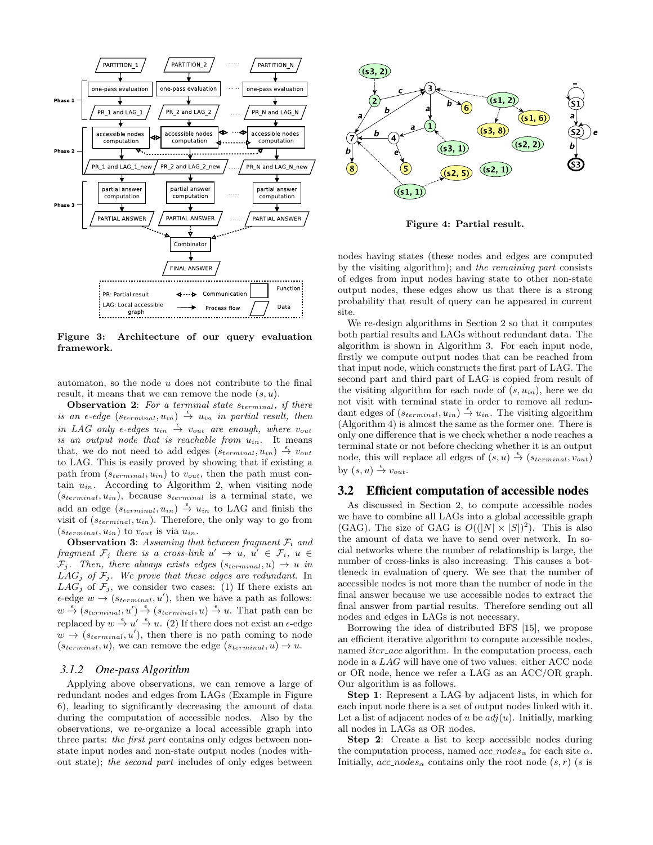

Figure 3: Architecture of our query evaluation framework.

automaton, so the node  $u$  does not contribute to the final result, it means that we can remove the node  $(s, u)$ .

**Observation 2:** For a terminal state  $s_{terminal}$ , if there is an  $\epsilon$ -edge  $(s_{terminal}, u_{in}) \stackrel{\epsilon}{\rightarrow} u_{in}$  in partial result, then in LAG only  $\epsilon$ -edges  $u_{in} \stackrel{\epsilon}{\rightarrow} v_{out}$  are enough, where  $v_{out}$ is an output node that is reachable from  $u_{in}$ . It means that, we do not need to add edges  $(s_{terminal}, u_{in}) \stackrel{\epsilon}{\rightarrow} v_{out}$ to LAG. This is easily proved by showing that if existing a path from  $(s_{terminal}, u_{in})$  to  $v_{out}$ , then the path must contain  $u_{in}$ . According to Algorithm 2, when visiting node  $(s_{terminal}, u_{in})$ , because  $s_{terminal}$  is a terminal state, we add an edge  $(s_{terminal}, u_{in}) \stackrel{\epsilon}{\rightarrow} u_{in}$  to LAG and finish the visit of  $(s_{terminal}, u_{in})$ . Therefore, the only way to go from  $(s_{terminal}, u_{in})$  to  $v_{out}$  is via  $u_{in}$ .

**Observation 3:** Assuming that between fragment  $\mathcal{F}_i$  and fragment  $\mathcal{F}_j$  there is a cross-link  $u' \rightarrow u, u' \in \mathcal{F}_i, u \in$  $\mathcal{F}_j$ . Then, there always exists edges  $(s_{terminal}, u) \rightarrow u$  in  $LAG_j$  of  $F_j$ . We prove that these edges are redundant. In  $LAG_j$  of  $\mathcal{F}_j$ , we consider two cases: (1) If there exists an  $\epsilon$ -edge  $w \rightarrow (s_{terminal}, u')$ , then we have a path as follows:  $w \stackrel{\epsilon}{\rightarrow} (s_{terminal}, u') \stackrel{\epsilon}{\rightarrow} (s_{terminal}, u) \stackrel{\epsilon}{\rightarrow} u$ . That path can be replaced by  $w \stackrel{\epsilon}{\rightarrow} u' \stackrel{\epsilon}{\rightarrow} u$ . (2) If there does not exist an  $\epsilon$ -edge  $w \rightarrow (s_{terminal}, u')$ , then there is no path coming to node  $(s_{terminal}, u)$ , we can remove the edge  $(s_{terminal}, u) \rightarrow u$ .

#### *3.1.2 One-pass Algorithm*

Applying above observations, we can remove a large of redundant nodes and edges from LAGs (Example in Figure 6), leading to significantly decreasing the amount of data during the computation of accessible nodes. Also by the observations, we re-organize a local accessible graph into three parts: the first part contains only edges between nonstate input nodes and non-state output nodes (nodes without state); the second part includes of only edges between



Figure 4: Partial result.

nodes having states (these nodes and edges are computed by the visiting algorithm); and the remaining part consists of edges from input nodes having state to other non-state output nodes, these edges show us that there is a strong probability that result of query can be appeared in current site.

We re-design algorithms in Section 2 so that it computes both partial results and LAGs without redundant data. The algorithm is shown in Algorithm 3. For each input node, firstly we compute output nodes that can be reached from that input node, which constructs the first part of LAG. The second part and third part of LAG is copied from result of the visiting algorithm for each node of  $(s, u_{in})$ , here we do not visit with terminal state in order to remove all redundant edges of  $(s_{terminal}, u_{in}) \stackrel{\epsilon}{\rightarrow} u_{in}$ . The visiting algorithm (Algorithm 4) is almost the same as the former one. There is only one difference that is we check whether a node reaches a terminal state or not before checking whether it is an output node, this will replace all edges of  $(s, u) \stackrel{\epsilon}{\rightarrow} (s_{terminal}, v_{out})$ by  $(s, u) \stackrel{\epsilon}{\rightarrow} v_{out}$ .

#### 3.2 Efficient computation of accessible nodes

As discussed in Section 2, to compute accessible nodes we have to combine all LAGs into a global accessible graph (GAG). The size of GAG is  $O((|N| \times |S|)^2)$ . This is also the amount of data we have to send over network. In social networks where the number of relationship is large, the number of cross-links is also increasing. This causes a bottleneck in evaluation of query. We see that the number of accessible nodes is not more than the number of node in the final answer because we use accessible nodes to extract the final answer from partial results. Therefore sending out all nodes and edges in LAGs is not necessary.

Borrowing the idea of distributed BFS [15], we propose an efficient iterative algorithm to compute accessible nodes, named *iter\_acc* algorithm. In the computation process, each node in a LAG will have one of two values: either ACC node or OR node, hence we refer a LAG as an ACC/OR graph. Our algorithm is as follows.

Step 1: Represent a LAG by adjacent lists, in which for each input node there is a set of output nodes linked with it. Let a list of adjacent nodes of u be  $adj(u)$ . Initially, marking all nodes in LAGs as OR nodes.

Step 2: Create a list to keep accessible nodes during the computation process, named  $acc\_nodes_{\alpha}$  for each site  $\alpha$ . Initially,  $acc\_nodes_{\alpha}$  contains only the root node  $(s, r)$  (s is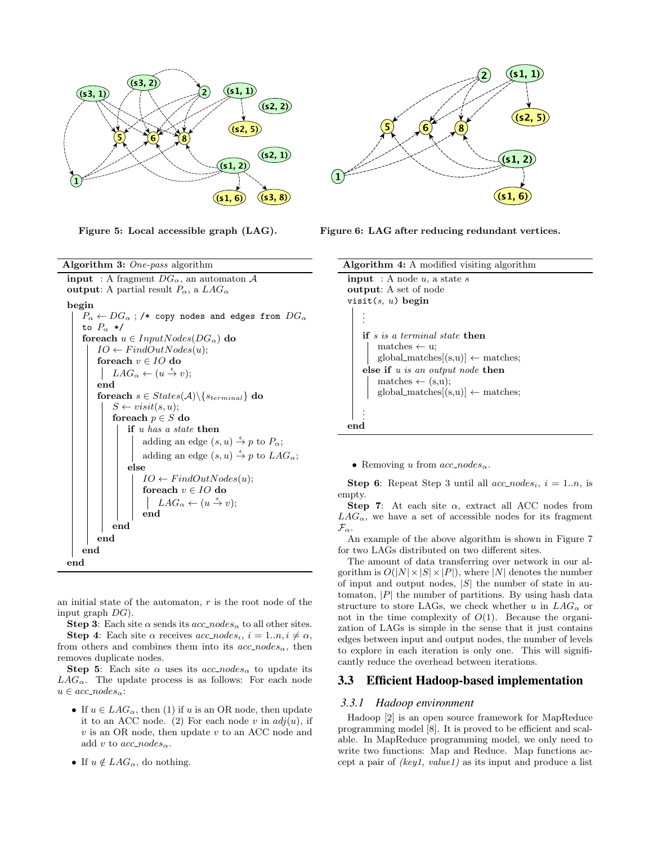

Algorithm 3: One-pass algorithm **input** : A fragment  $DG_{\alpha}$ , an automaton A output: A partial result  $P_{\alpha}$ , a  $LAG_{\alpha}$ begin  $P_{\alpha} \leftarrow DG_{\alpha}$ ; /\* copy nodes and edges from  $DG_{\alpha}$ to  $P_{\alpha} *$ / foreach  $u \in InputNodes(DG_{\alpha})$  do  $IO \leftarrow FindOutNodes(u);$ foreach  $v \in IO$  do  $LAG_{\alpha} \leftarrow (u \stackrel{\epsilon}{\rightarrow} v);$ end foreach  $s \in States(\mathcal{A}) \backslash \{s_{terminal}\}$  do  $S \leftarrow visit(s, u);$ foreach  $p \in S$  do if u has a state then adding an edge  $(s, u) \stackrel{\epsilon}{\rightarrow} p$  to  $P_{\alpha}$ ; adding an edge  $(s, u) \stackrel{\epsilon}{\rightarrow} p$  to  $LAG_{\alpha}$ ; else  $IO \leftarrow FindOutNodes(u);$ foreach  $v \in IO$  do  $LAG_{\alpha} \leftarrow (u \stackrel{\epsilon}{\rightarrow} v);$ end end end end

an initial state of the automaton,  $r$  is the root node of the input graph  $DG$ ).

**Step 3:** Each site  $\alpha$  sends its  $acc\_nodes_{\alpha}$  to all other sites. **Step 4:** Each site  $\alpha$  receives  $acc\_nodes_i$ ,  $i = 1..n, i \neq \alpha$ , from others and combines them into its  $acc\_nodes_{\alpha}$ , then removes duplicate nodes.

Step 5: Each site  $\alpha$  uses its acc\_nodes<sub>α</sub> to update its  $LAG_{\alpha}$ . The update process is as follows: For each node  $u \in acc\_nodes_{\alpha}$ :

- If  $u \in LAG_{\alpha}$ , then (1) if u is an OR node, then update it to an ACC node. (2) For each node v in  $adj(u)$ , if  $v$  is an OR node, then update  $v$  to an ACC node and add v to  $acc\_nodes_{\alpha}$ .
- If  $u \notin LAG_\alpha$ , do nothing.

end



Figure 5: Local accessible graph (LAG). Figure 6: LAG after reducing redundant vertices.

| <b>Algorithm 4:</b> A modified visiting algorithm          |  |  |  |  |
|------------------------------------------------------------|--|--|--|--|
| <b>input</b> : A node $u$ , a state $s$                    |  |  |  |  |
| <b>output:</b> A set of node                               |  |  |  |  |
| visit $(s, u)$ begin                                       |  |  |  |  |
|                                                            |  |  |  |  |
|                                                            |  |  |  |  |
| <b>if</b> s is a terminal state then                       |  |  |  |  |
| $matches \leftarrow u$                                     |  |  |  |  |
| $global\_matches[(s,u)] \leftarrow matches;$               |  |  |  |  |
| else if $u$ is an output node then                         |  |  |  |  |
| $matches \leftarrow (s,u);$                                |  |  |  |  |
| $\text{global\_matches}[(s,u)] \leftarrow \text{matches};$ |  |  |  |  |
|                                                            |  |  |  |  |
|                                                            |  |  |  |  |
|                                                            |  |  |  |  |

• Removing u from  $acc\_nodes_{\alpha}$ .

**Step 6:** Repeat Step 3 until all  $acc\_nodes_i$ ,  $i = 1..n$ , is empty.

Step 7: At each site  $\alpha$ , extract all ACC nodes from  $LAG_{\alpha}$ , we have a set of accessible nodes for its fragment  $\mathcal{F}_{\alpha}$ .

An example of the above algorithm is shown in Figure 7 for two LAGs distributed on two different sites.

The amount of data transferring over network in our algorithm is  $O(|N| \times |S| \times |P|)$ , where |N| denotes the number of input and output nodes,  $|S|$  the number of state in automaton,  $|P|$  the number of partitions. By using hash data structure to store LAGs, we check whether u in  $LAG_{\alpha}$  or not in the time complexity of  $O(1)$ . Because the organization of LAGs is simple in the sense that it just contains edges between input and output nodes, the number of levels to explore in each iteration is only one. This will significantly reduce the overhead between iterations.

## 3.3 Efficient Hadoop-based implementation

#### *3.3.1 Hadoop environment*

Hadoop [2] is an open source framework for MapReduce programming model [8]. It is proved to be efficient and scalable. In MapReduce programming model, we only need to write two functions: Map and Reduce. Map functions accept a pair of  $(key1, value1)$  as its input and produce a list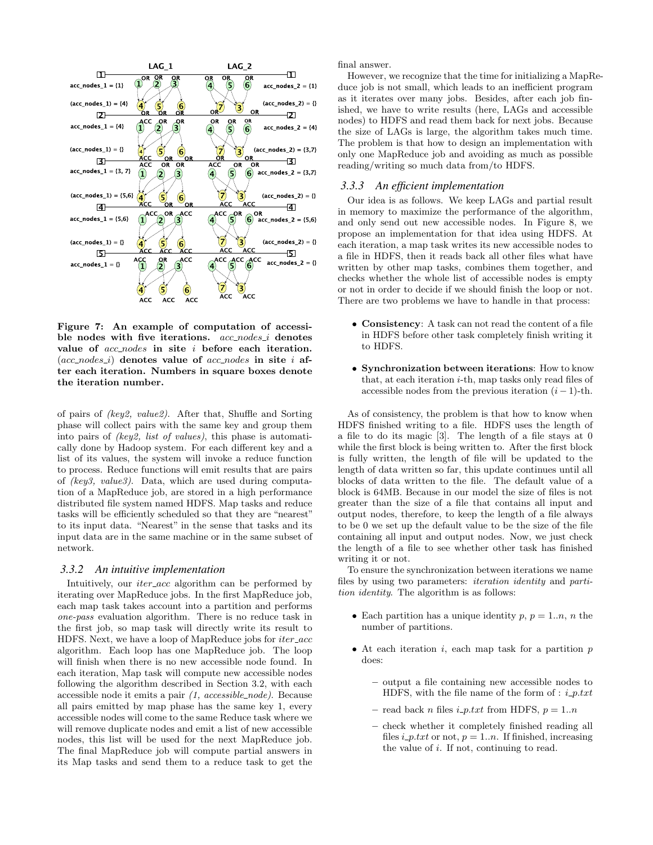

Figure 7: An example of computation of accessible nodes with five iterations. acc\_nodes\_i denotes value of  $acc-nodes$  in site i before each iteration.  $(ac\_nodes_i)$  denotes value of acc nodes in site i after each iteration. Numbers in square boxes denote the iteration number.

of pairs of (key2, value2). After that, Shuffle and Sorting phase will collect pairs with the same key and group them into pairs of (key2, list of values), this phase is automatically done by Hadoop system. For each different key and a list of its values, the system will invoke a reduce function to process. Reduce functions will emit results that are pairs of (key3, value3). Data, which are used during computation of a MapReduce job, are stored in a high performance distributed file system named HDFS. Map tasks and reduce tasks will be efficiently scheduled so that they are "nearest" to its input data. "Nearest" in the sense that tasks and its input data are in the same machine or in the same subset of network.

#### *3.3.2 An intuitive implementation*

Intuitively, our *iter\_acc* algorithm can be performed by iterating over MapReduce jobs. In the first MapReduce job, each map task takes account into a partition and performs one-pass evaluation algorithm. There is no reduce task in the first job, so map task will directly write its result to HDFS. Next, we have a loop of MapReduce jobs for *iter\_acc* algorithm. Each loop has one MapReduce job. The loop will finish when there is no new accessible node found. In each iteration, Map task will compute new accessible nodes following the algorithm described in Section 3.2, with each accessible node it emits a pair  $(1, \,accessible\_node)$ . Because all pairs emitted by map phase has the same key 1, every accessible nodes will come to the same Reduce task where we will remove duplicate nodes and emit a list of new accessible nodes, this list will be used for the next MapReduce job. The final MapReduce job will compute partial answers in its Map tasks and send them to a reduce task to get the

final answer.

However, we recognize that the time for initializing a MapReduce job is not small, which leads to an inefficient program as it iterates over many jobs. Besides, after each job finished, we have to write results (here, LAGs and accessible nodes) to HDFS and read them back for next jobs. Because the size of LAGs is large, the algorithm takes much time. The problem is that how to design an implementation with only one MapReduce job and avoiding as much as possible reading/writing so much data from/to HDFS.

#### *3.3.3 An efficient implementation*

Our idea is as follows. We keep LAGs and partial result in memory to maximize the performance of the algorithm, and only send out new accessible nodes. In Figure 8, we propose an implementation for that idea using HDFS. At each iteration, a map task writes its new accessible nodes to a file in HDFS, then it reads back all other files what have written by other map tasks, combines them together, and checks whether the whole list of accessible nodes is empty or not in order to decide if we should finish the loop or not. There are two problems we have to handle in that process:

- Consistency: A task can not read the content of a file in HDFS before other task completely finish writing it to HDFS.
- Synchronization between iterations: How to know that, at each iteration  $i$ -th, map tasks only read files of accessible nodes from the previous iteration  $(i - 1)$ -th.

As of consistency, the problem is that how to know when HDFS finished writing to a file. HDFS uses the length of a file to do its magic [3]. The length of a file stays at 0 while the first block is being written to. After the first block is fully written, the length of file will be updated to the length of data written so far, this update continues until all blocks of data written to the file. The default value of a block is 64MB. Because in our model the size of files is not greater than the size of a file that contains all input and output nodes, therefore, to keep the length of a file always to be 0 we set up the default value to be the size of the file containing all input and output nodes. Now, we just check the length of a file to see whether other task has finished writing it or not.

To ensure the synchronization between iterations we name files by using two parameters: iteration identity and partition identity. The algorithm is as follows:

- Each partition has a unique identity  $p, p = 1..n, n$  the number of partitions.
- At each iteration  $i$ , each map task for a partition  $p$ does:
	- output a file containing new accessible nodes to HDFS, with the file name of the form of :  $i$ <sub>-</sub> $p.txt$
	- read back n files  $i\_p.txt$  from HDFS,  $p = 1..n$
	- check whether it completely finished reading all files  $i$ -p.txt or not,  $p = 1..n$ . If finished, increasing the value of i. If not, continuing to read.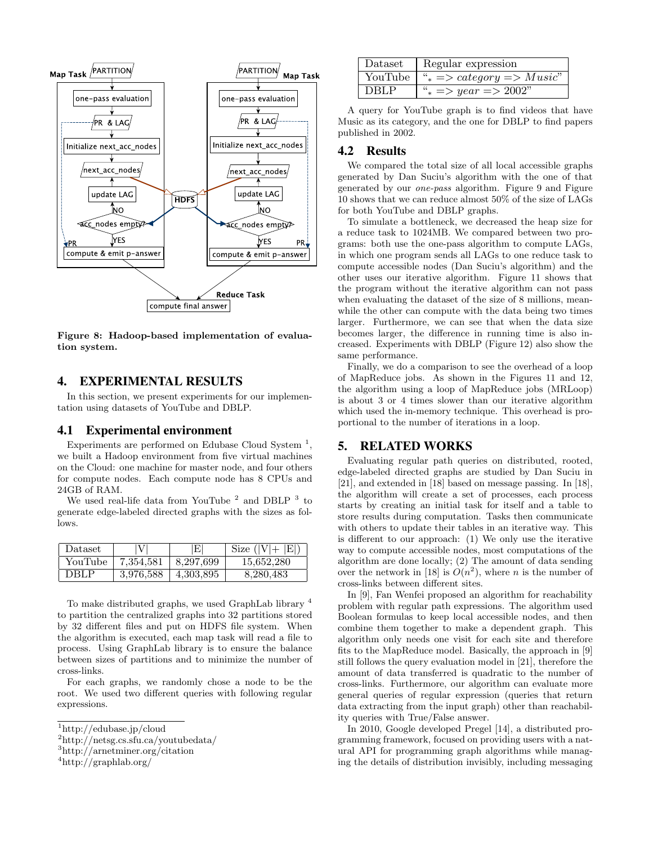

Figure 8: Hadoop-based implementation of evaluation system.

## 4. EXPERIMENTAL RESULTS

In this section, we present experiments for our implementation using datasets of YouTube and DBLP.

#### 4.1 Experimental environment

Experiments are performed on Edubase Cloud System<sup>1</sup>, we built a Hadoop environment from five virtual machines on the Cloud: one machine for master node, and four others for compute nodes. Each compute node has 8 CPUs and 24GB of RAM.

We used real-life data from YouTube  $^2$  and DBLP  $^3$  to generate edge-labeled directed graphs with the sizes as follows.

| $\text{Dataset}$ |           | Е         | Size $( V +$ |
|------------------|-----------|-----------|--------------|
| YouTube          | 7,354,581 | 8,297,699 | 15,652,280   |
| DRLP.            | 3.976.588 | 4,303,895 | 8.280.483    |

To make distributed graphs, we used GraphLab library <sup>4</sup> to partition the centralized graphs into 32 partitions stored by 32 different files and put on HDFS file system. When the algorithm is executed, each map task will read a file to process. Using GraphLab library is to ensure the balance between sizes of partitions and to minimize the number of cross-links.

For each graphs, we randomly chose a node to be the root. We used two different queries with following regular expressions.

<sup>2</sup>http://netsg.cs.sfu.ca/youtubedata/

| Dataset     | Regular expression                              |  |
|-------------|-------------------------------------------------|--|
| YouTube     | $\mu_* \Rightarrow category \Rightarrow Music"$ |  |
| <b>DBLP</b> | " $\ast \Rightarrow year \Rightarrow 2002"$     |  |

A query for YouTube graph is to find videos that have Music as its category, and the one for DBLP to find papers published in 2002.

## 4.2 Results

We compared the total size of all local accessible graphs generated by Dan Suciu's algorithm with the one of that generated by our one-pass algorithm. Figure 9 and Figure 10 shows that we can reduce almost 50% of the size of LAGs for both YouTube and DBLP graphs.

To simulate a bottleneck, we decreased the heap size for a reduce task to 1024MB. We compared between two programs: both use the one-pass algorithm to compute LAGs, in which one program sends all LAGs to one reduce task to compute accessible nodes (Dan Suciu's algorithm) and the other uses our iterative algorithm. Figure 11 shows that the program without the iterative algorithm can not pass when evaluating the dataset of the size of 8 millions, meanwhile the other can compute with the data being two times larger. Furthermore, we can see that when the data size becomes larger, the difference in running time is also increased. Experiments with DBLP (Figure 12) also show the same performance.

Finally, we do a comparison to see the overhead of a loop of MapReduce jobs. As shown in the Figures 11 and 12, the algorithm using a loop of MapReduce jobs (MRLoop) is about 3 or 4 times slower than our iterative algorithm which used the in-memory technique. This overhead is proportional to the number of iterations in a loop.

# 5. RELATED WORKS

Evaluating regular path queries on distributed, rooted, edge-labeled directed graphs are studied by Dan Suciu in [21], and extended in [18] based on message passing. In [18], the algorithm will create a set of processes, each process starts by creating an initial task for itself and a table to store results during computation. Tasks then communicate with others to update their tables in an iterative way. This is different to our approach: (1) We only use the iterative way to compute accessible nodes, most computations of the algorithm are done locally; (2) The amount of data sending over the network in [18] is  $O(n^2)$ , where *n* is the number of cross-links between different sites.

In [9], Fan Wenfei proposed an algorithm for reachability problem with regular path expressions. The algorithm used Boolean formulas to keep local accessible nodes, and then combine them together to make a dependent graph. This algorithm only needs one visit for each site and therefore fits to the MapReduce model. Basically, the approach in [9] still follows the query evaluation model in [21], therefore the amount of data transferred is quadratic to the number of cross-links. Furthermore, our algorithm can evaluate more general queries of regular expression (queries that return data extracting from the input graph) other than reachability queries with True/False answer.

In 2010, Google developed Pregel [14], a distributed programming framework, focused on providing users with a natural API for programming graph algorithms while managing the details of distribution invisibly, including messaging

<sup>1</sup>http://edubase.jp/cloud

<sup>3</sup>http://arnetminer.org/citation

<sup>4</sup>http://graphlab.org/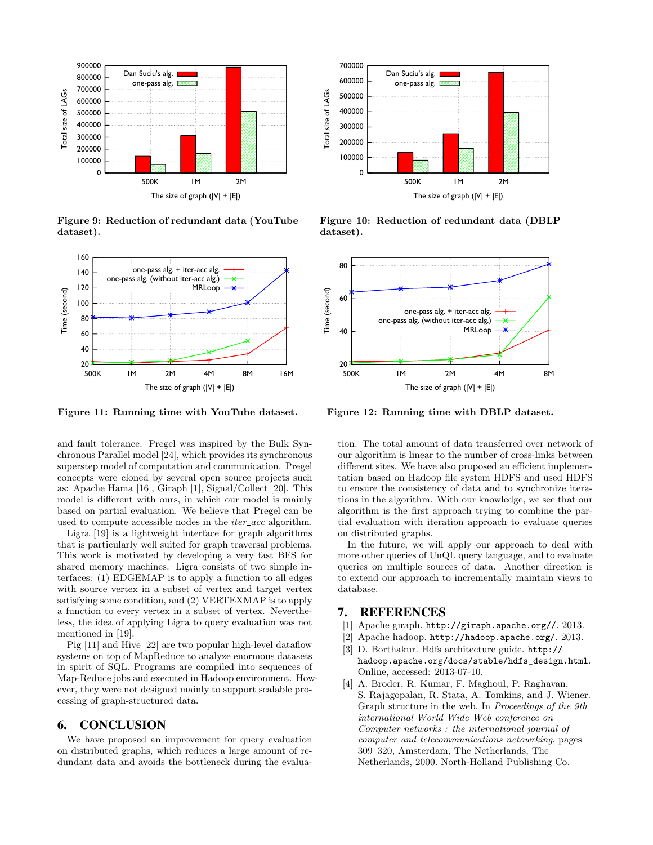

Figure 9: Reduction of redundant data (YouTube dataset).



Figure 11: Running time with YouTube dataset.

and fault tolerance. Pregel was inspired by the Bulk Synchronous Parallel model [24], which provides its synchronous superstep model of computation and communication. Pregel concepts were cloned by several open source projects such as: Apache Hama [16], Giraph [1], Signal/Collect [20]. This model is different with ours, in which our model is mainly based on partial evaluation. We believe that Pregel can be used to compute accessible nodes in the *iter\_acc* algorithm.

Ligra [19] is a lightweight interface for graph algorithms that is particularly well suited for graph traversal problems. This work is motivated by developing a very fast BFS for shared memory machines. Ligra consists of two simple interfaces: (1) EDGEMAP is to apply a function to all edges with source vertex in a subset of vertex and target vertex satisfying some condition, and (2) VERTEXMAP is to apply a function to every vertex in a subset of vertex. Nevertheless, the idea of applying Ligra to query evaluation was not mentioned in [19].

Pig [11] and Hive [22] are two popular high-level dataflow systems on top of MapReduce to analyze enormous datasets in spirit of SQL. Programs are compiled into sequences of Map-Reduce jobs and executed in Hadoop environment. However, they were not designed mainly to support scalable processing of graph-structured data.

## 6. CONCLUSION

We have proposed an improvement for query evaluation on distributed graphs, which reduces a large amount of redundant data and avoids the bottleneck during the evalua-



Figure 10: Reduction of redundant data (DBLP dataset).



Figure 12: Running time with DBLP dataset.

tion. The total amount of data transferred over network of our algorithm is linear to the number of cross-links between different sites. We have also proposed an efficient implementation based on Hadoop file system HDFS and used HDFS to ensure the consistency of data and to synchronize iterations in the algorithm. With our knowledge, we see that our algorithm is the first approach trying to combine the partial evaluation with iteration approach to evaluate queries on distributed graphs.

In the future, we will apply our approach to deal with more other queries of UnQL query language, and to evaluate queries on multiple sources of data. Another direction is to extend our approach to incrementally maintain views to database.

## 7. REFERENCES

- [1] Apache giraph. http://giraph.apache.org//. 2013.
- [2] Apache hadoop. http://hadoop.apache.org/. 2013.
- [3] D. Borthakur. Hdfs architecture guide. http:// hadoop.apache.org/docs/stable/hdfs\_design.html. Online, accessed: 2013-07-10.
- [4] A. Broder, R. Kumar, F. Maghoul, P. Raghavan, S. Rajagopalan, R. Stata, A. Tomkins, and J. Wiener. Graph structure in the web. In Proceedings of the 9th international World Wide Web conference on Computer networks : the international journal of computer and telecommunications netowrking, pages 309–320, Amsterdam, The Netherlands, The Netherlands, 2000. North-Holland Publishing Co.